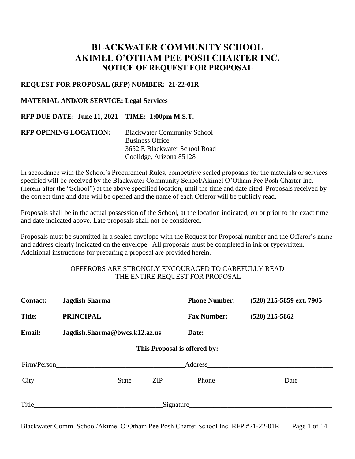# **BLACKWATER COMMUNITY SCHOOL AKIMEL O'OTHAM PEE POSH CHARTER INC. NOTICE OF REQUEST FOR PROPOSAL**

# **REQUEST FOR PROPOSAL (RFP) NUMBER: 21-22-01R**

# **MATERIAL AND/OR SERVICE: Legal Services**

# **RFP DUE DATE: June 11, 2021 TIME: 1:00pm M.S.T.**

| <b>RFP OPENING LOCATION:</b> | <b>Blackwater Community School</b> |  |
|------------------------------|------------------------------------|--|
|                              | <b>Business Office</b>             |  |
|                              | 3652 E Blackwater School Road      |  |
|                              | Coolidge, Arizona 85128            |  |

In accordance with the School's Procurement Rules, competitive sealed proposals for the materials or services specified will be received by the Blackwater Community School/Akimel O'Otham Pee Posh Charter Inc. (herein after the "School") at the above specified location, until the time and date cited. Proposals received by the correct time and date will be opened and the name of each Offeror will be publicly read.

Proposals shall be in the actual possession of the School, at the location indicated, on or prior to the exact time and date indicated above. Late proposals shall not be considered.

Proposals must be submitted in a sealed envelope with the Request for Proposal number and the Offeror's name and address clearly indicated on the envelope. All proposals must be completed in ink or typewritten. Additional instructions for preparing a proposal are provided herein.

# OFFERORS ARE STRONGLY ENCOURAGED TO CAREFULLY READ THE ENTIRE REQUEST FOR PROPOSAL

| <b>Contact:</b>              | <b>Jagdish Sharma</b>                                     |  | <b>Phone Number:</b> | $(520)$ 215-5859 ext. 7905 |  |  |  |  |
|------------------------------|-----------------------------------------------------------|--|----------------------|----------------------------|--|--|--|--|
| <b>Title:</b>                | <b>PRINCIPAL</b>                                          |  | <b>Fax Number:</b>   | $(520)$ 215-5862           |  |  |  |  |
| <b>Email:</b>                | Jagdish.Sharma@bwcs.k12.az.us                             |  | Date:                |                            |  |  |  |  |
| This Proposal is offered by: |                                                           |  |                      |                            |  |  |  |  |
|                              | Firm/Person                                               |  | <b>Address</b>       |                            |  |  |  |  |
|                              | State                                                     |  | ZIP Phone            | <b>Date</b>                |  |  |  |  |
| Title_                       | <u> 1990 - Johann Barbara, martin amerikan personal (</u> |  | Signature            |                            |  |  |  |  |

Blackwater Comm. School/Akimel O'Otham Pee Posh Charter School Inc. RFP #21-22-01R Page 1 of 14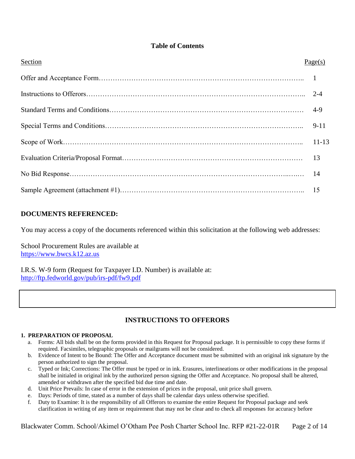# **Table of Contents**

| Section | Page(s) |
|---------|---------|
|         |         |
|         |         |
|         |         |
|         | $9-11$  |
|         | $11-13$ |
|         |         |
|         |         |
|         |         |

# **DOCUMENTS REFERENCED:**

You may access a copy of the documents referenced within this solicitation at the following web addresses:

School Procurement Rules are available at https://www.bwcs.k12.az.us

I.R.S. W-9 form (Request for Taxpayer I.D. Number) is available at: <http://ftp.fedworld.gov/pub/irs-pdf/fw9.pdf>

# **INSTRUCTIONS TO OFFERORS**

# **1. PREPARATION OF PROPOSAL**

- a. Forms: All bids shall be on the forms provided in this Request for Proposal package. It is permissible to copy these forms if required. Facsimiles, telegraphic proposals or mailgrams will not be considered.
- b. Evidence of Intent to be Bound: The Offer and Acceptance document must be submitted with an original ink signature by the person authorized to sign the proposal.
- c. Typed or Ink; Corrections: The Offer must be typed or in ink. Erasures, interlineations or other modifications in the proposal shall be initialed in original ink by the authorized person signing the Offer and Acceptance. No proposal shall be altered, amended or withdrawn after the specified bid due time and date.
- d. Unit Price Prevails: In case of error in the extension of prices in the proposal, unit price shall govern.
- e. Days: Periods of time, stated as a number of days shall be calendar days unless otherwise specified.
- f. Duty to Examine: It is the responsibility of all Offerors to examine the entire Request for Proposal package and seek clarification in writing of any item or requirement that may not be clear and to check all responses for accuracy before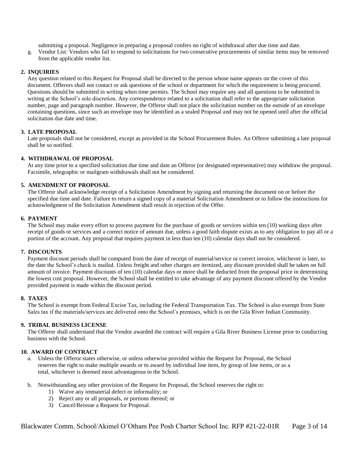submitting a proposal. Negligence in preparing a proposal confers no right of withdrawal after due time and date.

g. Vendor List: Vendors who fail to respond to solicitations for two consecutive procurements of similar items may be removed from the applicable vendor list.

#### **2. INQUIRIES**

Any question related to this Request for Proposal shall be directed to the person whose name appears on the cover of this document. Offerors shall not contact or ask questions of the school or department for which the requirement is being procured. Questions should be submitted in writing when time permits. The School may require any and all questions to be submitted in writing at the School's sole discretion. Any correspondence related to a solicitation shall refer to the appropriate solicitation number, page and paragraph number. However, the Offeror shall not place the solicitation number on the outside of an envelope containing questions, since such an envelope may be identified as a sealed Proposal and may not be opened until after the official solicitation due date and time.

#### **3. LATE PROPOSAL**

Late proposals shall not be considered, except as provided in the School Procurement Rules. An Offeror submitting a late proposal shall be so notified.

#### **4. WITHDRAWAL OF PROPOSAL**

At any time prior to a specified solicitation due time and date an Offeror (or designated representative) may withdraw the proposal. Facsimile, telegraphic or mailgram withdrawals shall not be considered.

#### **5. AMENDMENT OF PROPOSAL**

The Offeror shall acknowledge receipt of a Solicitation Amendment by signing and returning the document on or before the specified due time and date. Failure to return a signed copy of a material Solicitation Amendment or to follow the instructions for acknowledgment of the Solicitation Amendment shall result in rejection of the Offer.

#### **6. PAYMENT**

The School may make every effort to process payment for the purchase of goods or services within ten (10) working days after receipt of goods or services and a correct notice of amount due, unless a good faith dispute exists as to any obligation to pay all or a portion of the account. Any proposal that requires payment in less than ten (10) calendar days shall not be considered.

#### **7. DISCOUNTS**

Payment discount periods shall be computed from the date of receipt of material/service or correct invoice, whichever is later, to the date the School's check is mailed. Unless freight and other charges are itemized, any discount provided shall be taken on full amount of invoice. Payment discounts of ten (10) calendar days or more shall be deducted from the proposal price in determining the lowest cost proposal. However, the School shall be entitled to take advantage of any payment discount offered by the Vendor provided payment is made within the discount period.

#### **8. TAXES**

The School is exempt from Federal Excise Tax, including the Federal Transportation Tax. The School is also exempt from State Sales tax if the materials/services are delivered onto the School's premises, which is on the Gila River Indian Community.

#### **9. TRIBAL BUSINESS LICENSE**

The Offeror shall understand that the Vendor awarded the contract will require a Gila River Business License prior to conducting business with the School.

#### **10. AWARD OF CONTRACT**

- a. Unless the Offeror states otherwise, or unless otherwise provided within the Request for Proposal, the School reserves the right to make multiple awards or to award by individual line item, by group of line items, or as a total, whichever is deemed most advantageous to the School.
- b. Notwithstanding any other provision of the Request for Proposal, the School reserves the right to:
	- 1) Waive any immaterial defect or informality; or
	- 2) Reject any or all proposals, or portions thereof; or
	- 3) Cancel/Reissue a Request for Proposal.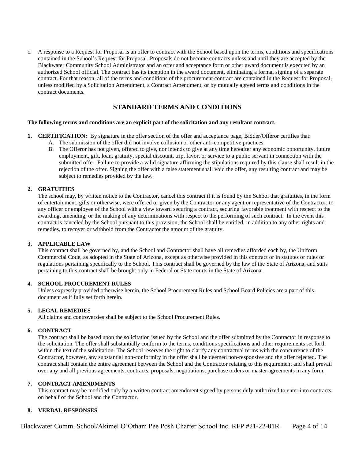c. A response to a Request for Proposal is an offer to contract with the School based upon the terms, conditions and specifications contained in the School's Request for Proposal. Proposals do not become contracts unless and until they are accepted by the Blackwater Community School Administrator and an offer and acceptance form or other award document is executed by an authorized School official. The contract has its inception in the award document, eliminating a formal signing of a separate contract. For that reason, all of the terms and conditions of the procurement contract are contained in the Request for Proposal, unless modified by a Solicitation Amendment, a Contract Amendment, or by mutually agreed terms and conditions in the contract documents.

# **STANDARD TERMS AND CONDITIONS**

#### **The following terms and conditions are an explicit part of the solicitation and any resultant contract.**

- **1. CERTIFICATION:** By signature in the offer section of the offer and acceptance page, Bidder/Offeror certifies that:
	- A. The submission of the offer did not involve collusion or other anti-competitive practices.
	- B. The Offeror has not given, offered to give, nor intends to give at any time hereafter any economic opportunity, future employment, gift, loan, gratuity, special discount, trip, favor, or service to a public servant in connection with the submitted offer. Failure to provide a valid signature affirming the stipulations required by this clause shall result in the rejection of the offer. Signing the offer with a false statement shall void the offer, any resulting contract and may be subject to remedies provided by the law.

#### **2. GRATUITIES**

The school may, by written notice to the Contractor, cancel this contract if it is found by the School that gratuities, in the form of entertainment, gifts or otherwise, were offered or given by the Contractor or any agent or representative of the Contractor, to any officer or employee of the School with a view toward securing a contract, securing favorable treatment with respect to the awarding, amending, or the making of any determinations with respect to the performing of such contract. In the event this contract is canceled by the School pursuant to this provision, the School shall be entitled, in addition to any other rights and remedies, to recover or withhold from the Contractor the amount of the gratuity.

#### **3. APPLICABLE LAW**

This contract shall be governed by, and the School and Contractor shall have all remedies afforded each by, the Uniform Commercial Code, as adopted in the State of Arizona, except as otherwise provided in this contract or in statutes or rules or regulations pertaining specifically to the School. This contract shall be governed by the law of the State of Arizona, and suits pertaining to this contract shall be brought only in Federal or State courts in the State of Arizona.

### **4. SCHOOL PROCUREMENT RULES**

Unless expressly provided otherwise herein, the School Procurement Rules and School Board Policies are a part of this document as if fully set forth herein.

#### **5. LEGAL REMEDIES**

All claims and controversies shall be subject to the School Procurement Rules.

#### **6. CONTRACT**

The contract shall be based upon the solicitation issued by the School and the offer submitted by the Contractor in response to the solicitation. The offer shall substantially conform to the terms, conditions specifications and other requirements set forth within the text of the solicitation. The School reserves the right to clarify any contractual terms with the concurrence of the Contractor, however, any substantial non-conformity in the offer shall be deemed non-responsive and the offer rejected. The contract shall contain the entire agreement between the School and the Contractor relating to this requirement and shall prevail over any and all previous agreements, contracts, proposals, negotiations, purchase orders or master agreements in any form.

#### **7. CONTRACT AMENDMENTS**

This contract may be modified only by a written contract amendment signed by persons duly authorized to enter into contracts on behalf of the School and the Contractor.

#### **8. VERBAL RESPONSES**

Blackwater Comm. School/Akimel O'Otham Pee Posh Charter School Inc. RFP #21-22-01R Page 4 of 14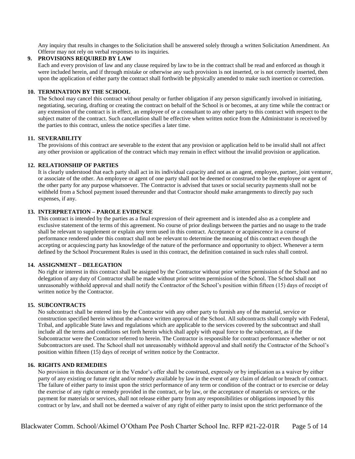Any inquiry that results in changes to the Solicitation shall be answered solely through a written Solicitation Amendment. An Offeror may not rely on verbal responses to its inquiries.

### **9. PROVISIONS REQUIRED BY LAW**

Each and every provision of law and any clause required by law to be in the contract shall be read and enforced as though it were included herein, and if through mistake or otherwise any such provision is not inserted, or is not correctly inserted, then upon the application of either party the contract shall forthwith be physically amended to make such insertion or correction.

#### **10. TERMINATION BY THE SCHOOL**

The School may cancel this contract without penalty or further obligation if any person significantly involved in initiating, negotiating, securing, drafting or creating the contract on behalf of the School is or becomes, at any time while the contract or any extension of the contract is in effect, an employee of or a consultant to any other party to this contract with respect to the subject matter of the contract. Such cancellation shall be effective when written notice from the Administrator is received by the parties to this contract, unless the notice specifies a later time.

#### **11. SEVERABILITY**

The provisions of this contract are severable to the extent that any provision or application held to be invalid shall not affect any other provision or application of the contract which may remain in effect without the invalid provision or application.

#### **12. RELATIONSHIP OF PARTIES**

It is clearly understood that each party shall act in its individual capacity and not as an agent, employee, partner, joint venturer, or associate of the other. An employee or agent of one party shall not be deemed or construed to be the employee or agent of the other party for any purpose whatsoever. The Contractor is advised that taxes or social security payments shall not be withheld from a School payment issued thereunder and that Contractor should make arrangements to directly pay such expenses, if any.

#### **13. INTERPRETATION – PAROLE EVIDENCE**

This contract is intended by the parties as a final expression of their agreement and is intended also as a complete and exclusive statement of the terms of this agreement. No course of prior dealings between the parties and no usage to the trade shall be relevant to supplement or explain any term used in this contract. Acceptance or acquiescence in a course of performance rendered under this contract shall not be relevant to determine the meaning of this contract even though the accepting or acquiescing party has knowledge of the nature of the performance and opportunity to object. Whenever a term defined by the School Procurement Rules is used in this contract, the definition contained in such rules shall control.

#### **14. ASSIGNMENT – DELEGATION**

No right or interest in this contract shall be assigned by the Contractor without prior written permission of the School and no delegation of any duty of Contractor shall be made without prior written permission of the School. The School shall not unreasonably withhold approval and shall notify the Contractor of the School's position within fifteen (15) days of receipt of written notice by the Contractor.

#### **15. SUBCONTRACTS**

No subcontract shall be entered into by the Contractor with any other party to furnish any of the material, service or construction specified herein without the advance written approval of the School. All subcontracts shall comply with Federal, Tribal, and applicable State laws and regulations which are applicable to the services covered by the subcontract and shall include all the terms and conditions set forth herein which shall apply with equal force to the subcontract, as if the Subcontractor were the Contractor referred to herein. The Contractor is responsible for contract performance whether or not Subcontractors are used. The School shall not unreasonably withhold approval and shall notify the Contractor of the School's position within fifteen (15) days of receipt of written notice by the Contractor.

#### **16. RIGHTS AND REMEDIES**

No provision in this document or in the Vendor's offer shall be construed, expressly or by implication as a waiver by either party of any existing or future right and/or remedy available by law in the event of any claim of default or breach of contract. The failure of either party to insist upon the strict performance of any term or condition of the contract or to exercise or delay the exercise of any right or remedy provided in the contract, or by law, or the acceptance of materials or services, or the payment for materials or services, shall not release either party from any responsibilities or obligations imposed by this contract or by law, and shall not be deemed a waiver of any right of either party to insist upon the strict performance of the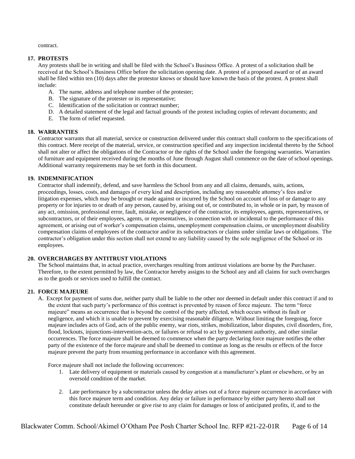contract.

### **17. PROTESTS**

Any protests shall be in writing and shall be filed with the School's Business Office. A protest of a solicitation shall be received at the School's Business Office before the solicitation opening date. A protest of a proposed award or of an award shall be filed within ten (10) days after the protestor knows or should have known the basis of the protest. A protest shall include:

- A. The name, address and telephone number of the protester;
- B. The signature of the protester or its representative;
- C. Identification of the solicitation or contract number;
- D. A detailed statement of the legal and factual grounds of the protest including copies of relevant documents; and
- E. The form of relief requested.

#### **18. WARRANTIES**

Contractor warrants that all material, service or construction delivered under this contract shall conform to the specifications of this contract. Mere receipt of the material, service, or construction specified and any inspection incidental thereto by the School shall not alter or affect the obligations of the Contractor or the rights of the School under the foregoing warranties. Warranties of furniture and equipment received during the months of June through August shall commence on the date of school openings. Additional warranty requirements may be set forth in this document.

### **19. INDEMNIFICATION**

Contractor shall indemnify, defend, and save harmless the School from any and all claims, demands, suits, actions, proceedings, losses, costs, and damages of every kind and description, including any reasonable attorney's fees and/or litigation expenses, which may be brought or made against or incurred by the School on account of loss of or damage to any property or for injuries to or death of any person, caused by, arising out of, or contributed to, in whole or in part, by reason of any act, omission, professional error, fault, mistake, or negligence of the contractor, its employees, agents, representatives, or subcontractors, or of their employees, agents, or representatives, in connection with or incidental to the performance of this agreement, or arising out of worker's compensation claims, unemployment compensation claims, or unemployment disability compensation claims of employees of the contractor and/or its subcontractors or claims under similar laws or obligations. The contractor's obligation under this section shall not extend to any liability caused by the sole negligence of the School or its employees.

# **20. OVERCHARGES BY ANTITRUST VIOLATIONS**

The School maintains that, in actual practice, overcharges resulting from antitrust violations are borne by the Purchaser. Therefore, to the extent permitted by law, the Contractor hereby assigns to the School any and all claims for such overcharges as to the goods or services used to fulfill the contract.

# **21. FORCE MAJEURE**

A. Except for payment of sums due, neither party shall be liable to the other nor deemed in default under this contract if and to the extent that such party's performance of this contract is prevented by reason of force majeure. The term "force majeure" means an occurrence that is beyond the control of the party affected, which occurs without its fault or negligence, and which it is unable to prevent by exercising reasonable diligence. Without limiting the foregoing, force majeure includes acts of God, acts of the public enemy, war riots, strikes, mobilization, labor disputes, civil disorders, fire, flood, lockouts, injunctions-intervention-acts, or failures or refusal to act by government authority, and other similar occurrences. The force majeure shall be deemed to commence when the party declaring force majeure notifies the other party of the existence of the force majeure and shall be deemed to continue as long as the results or effects of the force majeure prevent the party from resuming performance in accordance with this agreement.

Force majeure shall not include the following occurrences:

- 1. Late delivery of equipment or materials caused by congestion at a manufacturer's plant or elsewhere, or by an oversold condition of the market.
- 2. Late performance by a subcontractor unless the delay arises out of a force majeure occurrence in accordance with this force majeure term and condition. Any delay or failure in performance by either party hereto shall not constitute default hereunder or give rise to any claim for damages or loss of anticipated profits, if, and to the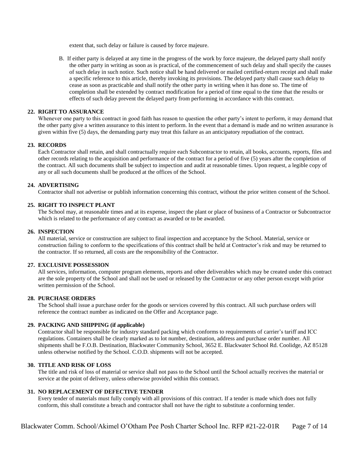extent that, such delay or failure is caused by force majeure.

B. If either party is delayed at any time in the progress of the work by force majeure, the delayed party shall notify the other party in writing as soon as is practical, of the commencement of such delay and shall specify the causes of such delay in such notice. Such notice shall be hand delivered or mailed certified-return receipt and shall make a specific reference to this article, thereby invoking its provisions. The delayed party shall cause such delay to cease as soon as practicable and shall notify the other party in writing when it has done so. The time of completion shall be extended by contract modification for a period of time equal to the time that the results or effects of such delay prevent the delayed party from performing in accordance with this contract.

#### **22. RIGHT TO ASSURANCE**

Whenever one party to this contract in good faith has reason to question the other party's intent to perform, it may demand that the other party give a written assurance to this intent to perform. In the event that a demand is made and no written assurance is given within five (5) days, the demanding party may treat this failure as an anticipatory repudiation of the contract.

#### **23. RECORDS**

Each Contractor shall retain, and shall contractually require each Subcontractor to retain, all books, accounts, reports, files and other records relating to the acquisition and performance of the contract for a period of five (5) years after the completion of the contract. All such documents shall be subject to inspection and audit at reasonable times. Upon request, a legible copy of any or all such documents shall be produced at the offices of the School.

#### **24. ADVERTISING**

Contractor shall not advertise or publish information concerning this contract, without the prior written consent of the School.

#### **25. RIGHT TO INSPECT PLANT**

The School may, at reasonable times and at its expense, inspect the plant or place of business of a Contractor or Subcontractor which is related to the performance of any contract as awarded or to be awarded.

#### **26. INSPECTION**

All material, service or construction are subject to final inspection and acceptance by the School. Material, service or construction failing to conform to the specifications of this contract shall be held at Contractor's risk and may be returned to the contractor. If so returned, all costs are the responsibility of the Contractor.

#### **27. EXCLUSIVE POSSESSION**

All services, information, computer program elements, reports and other deliverables which may be created under this contract are the sole property of the School and shall not be used or released by the Contractor or any other person except with prior written permission of the School.

#### **28. PURCHASE ORDERS**

The School shall issue a purchase order for the goods or services covered by this contract. All such purchase orders will reference the contract number as indicated on the Offer and Acceptance page.

#### **29. PACKING AND SHIPPING (if applicable)**

Contractor shall be responsible for industry standard packing which conforms to requirements of carrier's tariff and ICC regulations. Containers shall be clearly marked as to lot number, destination, address and purchase order number. All shipments shall be F.O.B. Destination, Blackwater Community School, 3652 E. Blackwater School Rd. Coolidge, AZ 85128 unless otherwise notified by the School. C.O.D. shipments will not be accepted.

#### **30. TITLE AND RISK OF LOSS**

The title and risk of loss of material or service shall not pass to the School until the School actually receives the material or service at the point of delivery, unless otherwise provided within this contract.

#### **31. NO REPLACEMENT OF DEFECTIVE TENDER**

Every tender of materials must fully comply with all provisions of this contract. If a tender is made which does not fully conform, this shall constitute a breach and contractor shall not have the right to substitute a conforming tender.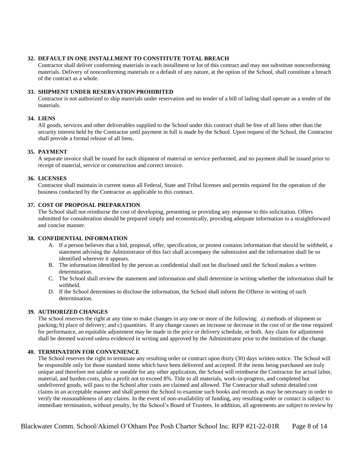#### **32. DEFAULT IN ONE INSTALLMENT TO CONSTITUTE TOTAL BREACH**

Contractor shall deliver conforming materials in each installment or lot of this contract and may not substitute nonconforming materials. Delivery of nonconforming materials or a default of any nature, at the option of the School, shall constitute a breach of the contract as a whole.

### **33. SHIPMENT UNDER RESERVATION PROHIBITED**

Contractor is not authorized to ship materials under reservation and no tender of a bill of lading shall operate as a tender of the materials.

### **34. LIENS**

All goods, services and other deliverables supplied to the School under this contract shall be free of all liens other than the security interest held by the Contractor until payment in full is made by the School. Upon request of the School, the Contractor shall provide a formal release of all liens.

#### **35. PAYMENT**

A separate invoice shall be issued for each shipment of material or service performed, and no payment shall be issued prior to receipt of material, service or construction and correct invoice.

### **36. LICENSES**

Contractor shall maintain in current status all Federal, State and Tribal licenses and permits required for the operation of the business conducted by the Contractor as applicable to this contract.

### **37. COST OF PROPOSAL PREPARATION**

The School shall not reimburse the cost of developing, presenting or providing any response to this solicitation. Offers submitted for consideration should be prepared simply and economically, providing adequate information in a straightforward and concise manner.

#### **38. CONFIDENTIAL INFORMATION**

- A. If a person believes that a bid, proposal, offer, specification, or protest contains information that should be withheld, a statement advising the Administrator of this fact shall accompany the submission and the information shall be so identified wherever it appears.
- B. The information identified by the person as confidential shall not be disclosed until the School makes a written determination.
- C. The School shall review the statement and information and shall determine in writing whether the information shall be withheld.
- D. If the School determines to disclose the information, the School shall inform the Offeror in writing of such determination.

#### **39. AUTHORIZED CHANGES**

The school reserves the right at any time to make changes in any one or more of the following: a) methods of shipment or packing; b) place of delivery; and c) quantities. If any change causes an increase or decrease in the cost of or the time required for performance, an equitable adjustment may be made in the price or delivery schedule, or both. Any claim for adjustment shall be deemed waived unless evidenced in writing and approved by the Administrator prior to the institution of the change.

#### **40. TERMINATION FOR CONVENIENCE**

The School reserves the right to terminate any resulting order or contract upon thirty (30) days written notice. The School will be responsible only for those standard items which have been delivered and accepted. If the items being purchased are truly unique and therefore not salable or useable for any other application, the School will reimburse the Contractor for actual labor, material, and burden costs, plus a profit not to exceed 8%. Title to all materials, work-in-progress, and completed but undelivered goods, will pass to the School after costs are claimed and allowed. The Contractor shall submit detailed cost claims in an acceptable manner and shall permit the School to examine such books and records as may be necessary in order to verify the reasonableness of any claims. In the event of non-availability of funding, any resulting order or contact is subject to immediate termination, without penalty, by the School's Board of Trustees. In addition, all agreements are subject to review by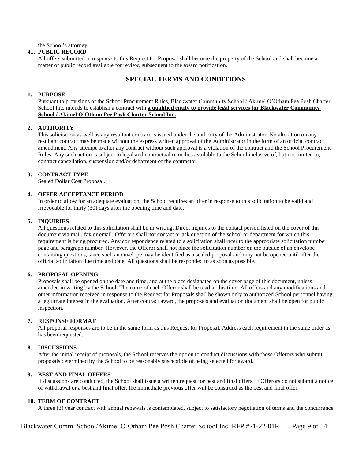the School's attorney.

### **41. PUBLIC RECORD**

All offers submitted in response to this Request for Proposal shall become the property of the School and shall become a matter of public record available for review, subsequent to the award notification.

# **SPECIAL TERMS AND CONDITIONS**

### **1. PURPOSE**

Pursuant to provisions of the School Procurement Rules, Blackwater Community School / Akimel O'Otham Pee Posh Charter School Inc. intends to establish a contract with **a qualified entity to provide legal services for Blackwater Community School / Akimel O'Otham Pee Posh Charter School Inc.**

# **2. AUTHORITY**

This solicitation as well as any resultant contract is issued under the authority of the Administrator. No alteration on any resultant contract may be made without the express written approval of the Administrator in the form of an official contract amendment. Any attempt to alter any contract without such approval is a violation of the contract and the School Procurement Rules. Any such action is subject to legal and contractual remedies available to the School inclusive of, but not limited to, contract cancellation, suspension and/or debarment of the contractor.

#### **3. CONTRACT TYPE**

Sealed Dollar Cost Proposal.

### **4. OFFER ACCEPTANCE PERIOD**

In order to allow for an adequate evaluation, the School requires an offer in response to this solicitation to be valid and irrevocable for thirty (30) days after the opening time and date.

#### **5. INQUIRIES**

All questions related to this solicitation shall be in writing. Direct inquires to the contact person listed on the cover of this document via mail, fax or email. Offerors shall not contact or ask question of the school or department for which this requirement is being procured. Any correspondence related to a solicitation shall refer to the appropriate solicitation number, page and paragraph number. However, the Offeror shall not place the solicitation number on the outside of an envelope containing questions, since such an envelope may be identified as a sealed proposal and may not be opened until after the official solicitation due time and date. All questions shall be responded to as soon as possible.

#### **6. PROPOSAL OPENING**

Proposals shall be opened on the date and time, and at the place designated on the cover page of this document, unless amended in writing by the School. The name of each Offeror shall be read at this time. All offers and any modifications and other information received in response to the Request for Proposals shall be shown only to authorized School personnel having a legitimate interest in the evaluation. After contract award, the proposals and evaluation document shall be open for public inspection.

### **7. RESPONSE FORMAT**

All proposal responses are to be in the same form as this Request for Proposal. Address each requirement in the same order as has been requested.

#### **8. DISCUSSIONS**

After the initial receipt of proposals, the School reserves the option to conduct discussions with those Offerors who submit proposals determined by the School to be reasonably susceptible of being selected for award.

#### **9. BEST AND FINAL OFFERS**

If discussions are conducted, the School shall issue a written request for best and final offers. If Offerors do not submit a notice of withdrawal or a best and final offer, the immediate previous offer will be construed as the best and final offer.

#### **10. TERM OF CONTRACT**

A three (3) year contract with annual renewals is contemplated, subject to satisfactory negotiation of terms and the concurrence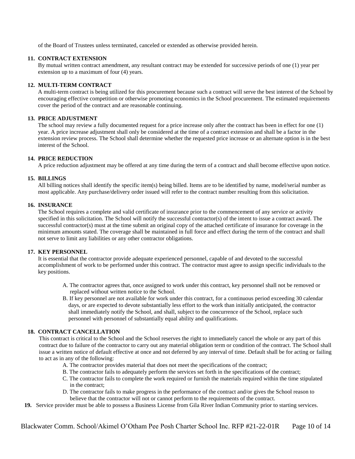of the Board of Trustees unless terminated, canceled or extended as otherwise provided herein.

#### **11. CONTRACT EXTENSION**

By mutual written contract amendment, any resultant contract may be extended for successive periods of one (1) year per extension up to a maximum of four (4) years.

#### **12. MULTI-TERM CONTRACT**

A multi-term contract is being utilized for this procurement because such a contract will serve the best interest of the School by encouraging effective competition or otherwise promoting economics in the School procurement. The estimated requirements cover the period of the contract and are reasonable continuing.

#### **13. PRICE ADJUSTMENT**

The school may review a fully documented request for a price increase only after the contract has been in effect for one (1) year. A price increase adjustment shall only be considered at the time of a contract extension and shall be a factor in the extension review process. The School shall determine whether the requested price increase or an alternate option is in the best interest of the School.

#### **14. PRICE REDUCTION**

A price reduction adjustment may be offered at any time during the term of a contract and shall become effective upon notice.

#### **15. BILLINGS**

All billing notices shall identify the specific item(s) being billed. Items are to be identified by name, model/serial number as most applicable. Any purchase/delivery order issued will refer to the contract number resulting from this solicitation.

#### **16. INSURANCE**

The School requires a complete and valid certificate of insurance prior to the commencement of any service or activity specified in this solicitation. The School will notify the successful contractor(s) of the intent to issue a contract award. The successful contractor(s) must at the time submit an original copy of the attached certificate of insurance for coverage in the minimum amounts stated. The coverage shall be maintained in full force and effect during the term of the contract and shall not serve to limit any liabilities or any other contractor obligations.

#### **17. KEY PERSONNEL**

It is essential that the contractor provide adequate experienced personnel, capable of and devoted to the successful accomplishment of work to be performed under this contract. The contractor must agree to assign specific individuals to the key positions.

- A. The contractor agrees that, once assigned to work under this contract, key personnel shall not be removed or replaced without written notice to the School.
- B. If key personnel are not available for work under this contract, for a continuous period exceeding 30 calendar days, or are expected to devote substantially less effort to the work than initially anticipated, the contractor shall immediately notify the School, and shall, subject to the concurrence of the School, replace such personnel with personnel of substantially equal ability and qualifications.

#### **18. CONTRACT CANCELLATION**

This contract is critical to the School and the School reserves the right to immediately cancel the whole or any part of this contract due to failure of the contractor to carry out any material obligation term or condition of the contract. The School shall issue a written notice of default effective at once and not deferred by any interval of time. Default shall be for acting or failing to act as in any of the following:

- A. The contractor provides material that does not meet the specifications of the contract;
- B. The contractor fails to adequately perform the services set forth in the specifications of the contract;
- C. The contractor fails to complete the work required or furnish the materials required within the time stipulated in the contract;
- D. The contractor fails to make progress in the performance of the contract and/or gives the School reason to believe that the contractor will not or cannot perform to the requirements of the contract.
- **19.** Service provider must be able to possess a Business License from Gila River Indian Community prior to starting services.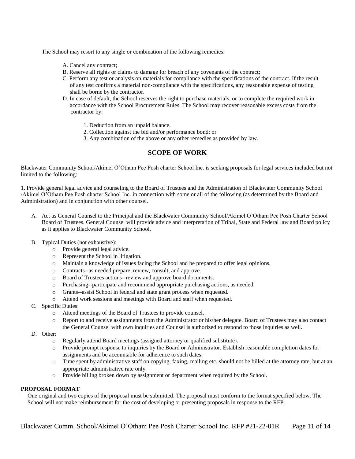The School may resort to any single or combination of the following remedies:

- A. Cancel any contract;
- B. Reserve all rights or claims to damage for breach of any covenants of the contract;
- C. Perform any test or analysis on materials for compliance with the specifications of the contract. If the result of any test confirms a material non-compliance with the specifications, any reasonable expense of testing shall be borne by the contractor.
- D. In case of default, the School reserves the right to purchase materials, or to complete the required work in accordance with the School Procurement Rules. The School may recover reasonable excess costs from the contractor by:
	- 1. Deduction from an unpaid balance.
	- 2. Collection against the bid and/or performance bond; or
	- 3. Any combination of the above or any other remedies as provided by law.

# **SCOPE OF WORK**

Blackwater Community School/Akimel O'Otham Pee Posh charter School Inc. is seeking proposals for legal services included but not limited to the following:

1. Provide general legal advice and counseling to the Board of Trustees and the Administration of Blackwater Community School /Akimel O'Otham Pee Posh charter School Inc. in connection with some or all of the following (as determined by the Board and Administration) and in conjunction with other counsel.

- A. Act as General Counsel to the Principal and the Blackwater Community School/Akimel O'Otham Pee Posh Charter School Board of Trustees. General Counsel will provide advice and interpretation of Tribal, State and Federal law and Board policy as it applies to Blackwater Community School.
- B. Typical Duties (not exhaustive):
	- o Provide general legal advice.
	- o Represent the School in litigation.
	- o Maintain a knowledge of issues facing the School and be prepared to offer legal opinions.
	- o Contracts--as needed prepare, review, consult, and approve.
	- o Board of Trustees actions--review and approve board documents.
	- o Purchasing--participate and recommend appropriate purchasing actions, as needed.
	- o Grants--assist School in federal and state grant process when requested.
	- o Attend work sessions and meetings with Board and staff when requested.
- C. Specific Duties:
	- o Attend meetings of the Board of Trustees to provide counsel.
	- o Report to and receive assignments from the Administrator or his/her delegate. Board of Trustees may also contact the General Counsel with own inquiries and Counsel is authorized to respond to those inquiries as well.
- D. Other:
	- o Regularly attend Board meetings (assigned attorney or qualified substitute).
	- o Provide prompt response to inquiries by the Board or Administrator. Establish reasonable completion dates for assignments and be accountable for adherence to such dates.
	- o Time spent by administrative staff on copying, faxing, mailing etc. should not be billed at the attorney rate, but at an appropriate administrative rate only.
	- o Provide billing broken down by assignment or department when required by the School.

#### **PROPOSAL FORMAT**

One original and two copies of the proposal must be submitted. The proposal must conform to the format specified below. The School will not make reimbursement for the cost of developing or presenting proposals in response to the RFP.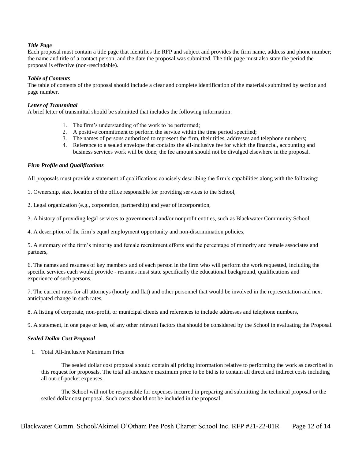#### *Title Page*

Each proposal must contain a title page that identifies the RFP and subject and provides the firm name, address and phone number; the name and title of a contact person; and the date the proposal was submitted. The title page must also state the period the proposal is effective (non-rescindable).

#### *Table of Contents*

The table of contents of the proposal should include a clear and complete identification of the materials submitted by section and page number.

#### *Letter of Transmittal*

A brief letter of transmittal should be submitted that includes the following information:

- 1. The firm's understanding of the work to be performed;
- 2. A positive commitment to perform the service within the time period specified;
- 3. The names of persons authorized to represent the firm, their titles, addresses and telephone numbers;
- 4. Reference to a sealed envelope that contains the all-inclusive fee for which the financial, accounting and business services work will be done; the fee amount should not be divulged elsewhere in the proposal.

#### *Firm Profile and Qualifications*

All proposals must provide a statement of qualifications concisely describing the firm's capabilities along with the following:

1. Ownership, size, location of the office responsible for providing services to the School,

2. Legal organization (e.g., corporation, partnership) and year of incorporation,

3. A history of providing legal services to governmental and/or nonprofit entities, such as Blackwater Community School,

4. A description of the firm's equal employment opportunity and non-discrimination policies,

5. A summary of the firm's minority and female recruitment efforts and the percentage of minority and female associates and partners,

6. The names and resumes of key members and of each person in the firm who will perform the work requested, including the specific services each would provide - resumes must state specifically the educational background, qualifications and experience of such persons,

7. The current rates for all attorneys (hourly and flat) and other personnel that would be involved in the representation and next anticipated change in such rates,

8. A listing of corporate, non-profit, or municipal clients and references to include addresses and telephone numbers,

9. A statement, in one page or less, of any other relevant factors that should be considered by the School in evaluating the Proposal.

#### *Sealed Dollar Cost Proposal*

1. Total All-Inclusive Maximum Price

The sealed dollar cost proposal should contain all pricing information relative to performing the work as described in this request for proposals. The total all-inclusive maximum price to be bid is to contain all direct and indirect costs including all out-of-pocket expenses.

The School will not be responsible for expenses incurred in preparing and submitting the technical proposal or the sealed dollar cost proposal. Such costs should not be included in the proposal.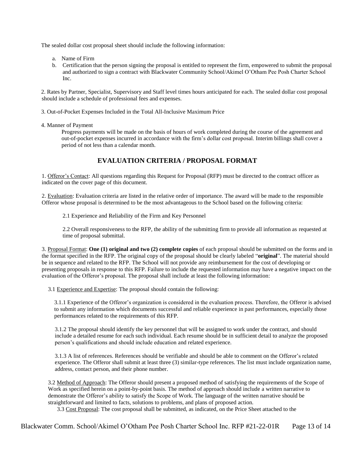The sealed dollar cost proposal sheet should include the following information:

- a. Name of Firm
- b. Certification that the person signing the proposal is entitled to represent the firm, empowered to submit the proposal and authorized to sign a contract with Blackwater Community School/Akimel O'Otham Pee Posh Charter School Inc.

2. Rates by Partner, Specialist, Supervisory and Staff level times hours anticipated for each. The sealed dollar cost proposal should include a schedule of professional fees and expenses.

- 3. Out-of-Pocket Expenses Included in the Total All-Inclusive Maximum Price
- 4. Manner of Payment

Progress payments will be made on the basis of hours of work completed during the course of the agreement and out-of-pocket expenses incurred in accordance with the firm's dollar cost proposal. Interim billings shall cover a period of not less than a calendar month.

# **EVALUATION CRITERIA / PROPOSAL FORMAT**

1. Offeror's Contact: All questions regarding this Request for Proposal (RFP) must be directed to the contract officer as indicated on the cover page of this document.

2. Evaluation: Evaluation criteria are listed in the relative order of importance. The award will be made to the responsible Offeror whose proposal is determined to be the most advantageous to the School based on the following criteria:

2.1 Experience and Reliability of the Firm and Key Personnel

2.2 Overall responsiveness to the RFP, the ability of the submitting firm to provide all information as requested at time of proposal submittal.

3. Proposal Format: **One (1) original and two (2) complete copies** of each proposal should be submitted on the forms and in the format specified in the RFP. The original copy of the proposal should be clearly labeled "**original**". The material should be in sequence and related to the RFP. The School will not provide any reimbursement for the cost of developing or presenting proposals in response to this RFP. Failure to include the requested information may have a negative impact on the evaluation of the Offeror's proposal. The proposal shall include at least the following information:

3.1 Experience and Expertise: The proposal should contain the following:

3.1.1 Experience of the Offeror's organization is considered in the evaluation process. Therefore, the Offeror is advised to submit any information which documents successful and reliable experience in past performances, especially those performances related to the requirements of this RFP.

3.1.2 The proposal should identify the key personnel that will be assigned to work under the contract, and should include a detailed resume for each such individual. Each resume should be in sufficient detail to analyze the proposed person's qualifications and should include education and related experience.

3.1.3 A list of references. References should be verifiable and should be able to comment on the Offeror's related experience. The Offeror shall submit at least three (3) similar-type references. The list must include organization name, address, contact person, and their phone number.

3.2 Method of Approach: The Offeror should present a proposed method of satisfying the requirements of the Scope of Work as specified herein on a point-by-point basis. The method of approach should include a written narrative to demonstrate the Offeror's ability to satisfy the Scope of Work. The language of the written narrative should be straightforward and limited to facts, solutions to problems, and plans of proposed action.

3.3 Cost Proposal: The cost proposal shall be submitted, as indicated, on the Price Sheet attached to the